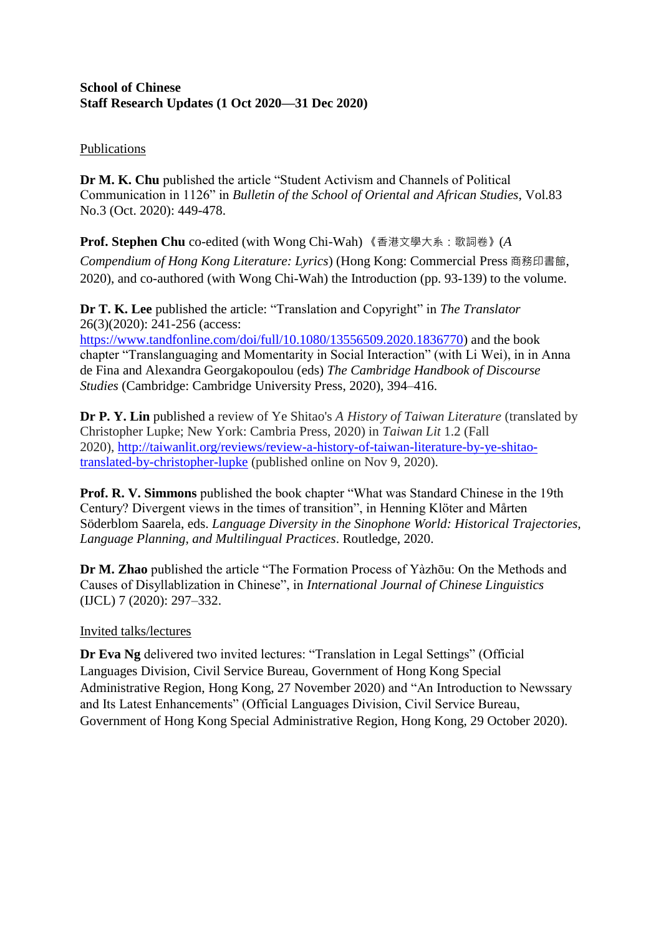## **School of Chinese Staff Research Updates (1 Oct 2020—31 Dec 2020)**

## **Publications**

**Dr M. K. Chu** published the article "Student Activism and Channels of Political Communication in 1126" in *Bulletin of the School of Oriental and African Studies*, Vol.83 No.3 (Oct. 2020): 449-478.

**Prof. Stephen Chu** co-edited (with Wong Chi-Wah) 《香港文學大系:歌詞卷》(*A* 

*Compendium of Hong Kong Literature: Lyrics*) (Hong Kong: Commercial Press 商務印書館, 2020), and co-authored (with Wong Chi-Wah) the Introduction (pp. 93-139) to the volume.

**Dr T. K. Lee** published the article: "Translation and Copyright" in *The Translator* 26(3)(2020): 241-256 (access:

[https://www.tandfonline.com/doi/full/10.1080/13556509.2020.1836770\)](https://www.tandfonline.com/doi/full/10.1080/13556509.2020.1836770) and the book chapter "Translanguaging and Momentarity in Social Interaction" (with Li Wei), in in Anna de Fina and Alexandra Georgakopoulou (eds) *The Cambridge Handbook of Discourse Studies* (Cambridge: Cambridge University Press, 2020), 394–416.

**Dr P. Y. Lin** published a review of Ye Shitao's *A History of Taiwan Literature* (translated by Christopher Lupke; New York: Cambria Press, 2020) in *Taiwan Lit* 1.2 (Fall 2020), [http://taiwanlit.org/reviews/review-a-history-of-taiwan-literature-by-ye-shitao](http://taiwanlit.org/reviews/review-a-history-of-taiwan-literature-by-ye-shitao-translated-by-christopher-lupke)[translated-by-christopher-lupke](http://taiwanlit.org/reviews/review-a-history-of-taiwan-literature-by-ye-shitao-translated-by-christopher-lupke) (published online on Nov 9, 2020).

**Prof. R. V. Simmons** published the book chapter "What was Standard Chinese in the 19th Century? Divergent views in the times of transition", in Henning Klöter and Mårten Söderblom Saarela, eds. *Language Diversity in the Sinophone World: Historical Trajectories, Language Planning, and Multilingual Practices*. Routledge, 2020.

**Dr M. Zhao** published the article "The Formation Process of Yàzhōu: On the Methods and Causes of Disyllablization in Chinese", in *International Journal of Chinese Linguistics* (IJCL) 7 (2020): 297–332.

## Invited talks/lectures

**Dr Eva Ng** delivered two invited lectures: "Translation in Legal Settings" (Official Languages Division, Civil Service Bureau, Government of Hong Kong Special Administrative Region, Hong Kong, 27 November 2020) and "An Introduction to Newssary and Its Latest Enhancements" (Official Languages Division, Civil Service Bureau, Government of Hong Kong Special Administrative Region, Hong Kong, 29 October 2020).